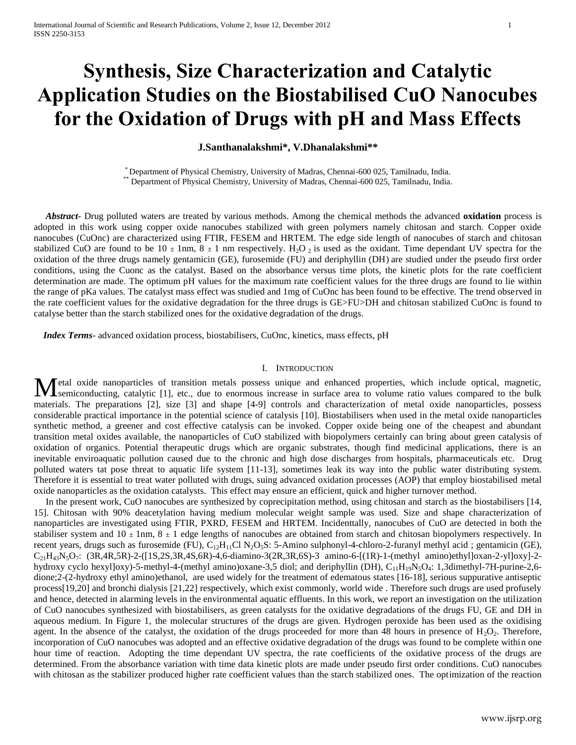# **Synthesis, Size Characterization and Catalytic Application Studies on the Biostabilised CuO Nanocubes for the Oxidation of Drugs with pH and Mass Effects**

## **J.Santhanalakshmi\*, V.Dhanalakshmi\*\***

\* Department of Physical Chemistry, University of Madras, Chennai-600 025, Tamilnadu, India. \*\* Department of Physical Chemistry, University of Madras, Chennai-600 025, Tamilnadu, India.

 *Abstract***-** Drug polluted waters are treated by various methods. Among the chemical methods the advanced **oxidation** process is adopted in this work using copper oxide nanocubes stabilized with green polymers namely chitosan and starch. Copper oxide nanocubes (CuOnc) are characterized using FTIR, FESEM and HRTEM. The edge side length of nanocubes of starch and chitosan stabilized CuO are found to be  $10 \pm 1$  nm,  $8 \pm 1$  nm respectively. H<sub>2</sub>O<sub>2</sub> is used as the oxidant. Time dependant UV spectra for the oxidation of the three drugs namely gentamicin (GE), furosemide (FU) and deriphyllin (DH) are studied under the pseudo first order conditions, using the Cuonc as the catalyst. Based on the absorbance versus time plots, the kinetic plots for the rate coefficient determination are made. The optimum pH values for the maximum rate coefficient values for the three drugs are found to lie within the range of pKa values. The catalyst mass effect was studied and 1mg of CuOnc has been found to be effective. The trend observed in the rate coefficient values for the oxidative degradation for the three drugs is GE>FU>DH and chitosan stabilized CuOnc is found to catalyse better than the starch stabilized ones for the oxidative degradation of the drugs.

 *Index Terms*- advanced oxidation process, biostabilisers, CuOnc, kinetics, mass effects, pH

## I. INTRODUCTION

etal oxide nanoparticles of transition metals possess unique and enhanced properties, which include optical, magnetic, Metal oxide nanoparticles of transition metals possess unique and enhanced properties, which include optical, magnetic, semiconducting, catalytic [1], etc., due to enormous increase in surface area to volume ratio values c materials. The preparations [2], size [3] and shape [4-9] controls and characterization of metal oxide nanoparticles, possess considerable practical importance in the potential science of catalysis [10]. Biostabilisers when used in the metal oxide nanoparticles synthetic method, a greener and cost effective catalysis can be invoked. Copper oxide being one of the cheapest and abundant transition metal oxides available, the nanoparticles of CuO stabilized with biopolymers certainly can bring about green catalysis of oxidation of organics. Potential therapeutic drugs which are organic substrates, though find medicinal applications, there is an inevitable enviroaquatic pollution caused due to the chronic and high dose discharges from hospitals, pharmaceuticals etc. Drug polluted waters tat pose threat to aquatic life system [11-13], sometimes leak its way into the public water distributing system. Therefore it is essential to treat water polluted with drugs, suing advanced oxidation processes (AOP) that employ biostabilised metal oxide nanoparticles as the oxidation catalysts. This effect may ensure an efficient, quick and higher turnover method.

 In the present work, CuO nanocubes are synthesized by coprecipitation method, using chitosan and starch as the biostabilisers [14, 15]. Chitosan with 90% deacetylation having medium molecular weight sample was used. Size and shape characterization of nanoparticles are investigated using FTIR, PXRD, FESEM and HRTEM. Incidenttally, nanocubes of CuO are detected in both the stabiliser system and  $10 \pm 1$ nm,  $8 \pm 1$  edge lengths of nanocubes are obtained from starch and chitosan biopolymers respectively. In recent years, drugs such as furosemide (FU),  $C_{12}H_{11}Cl$  N<sub>2</sub>O<sub>5</sub>S: 5-Amino sulphonyl-4-chloro-2-furanyl methyl acid ; gentamicin (GE),  $C_{21}H_{43}N_5O_7$ : (3R,4R,5R)-2-([1S,2S,3R,4S,6R)-4,6-diamino-3(2R,3R,6S)-3 amino-6-[(1R)-1-(methyl amino)ethyl]oxan-2-yl]oxy]-2hydroxy cyclo hexyl]oxy)-5-methyl-4-(methyl amino)oxane-3,5 diol; and deriphyllin (DH), C<sub>11</sub>H<sub>19</sub>N<sub>5</sub>O<sub>4</sub>: 1,3dimethyl-7H-purine-2,6dione;2-(2-hydroxy ethyl amino)ethanol, are used widely for the treatment of edematous states [16-18], serious suppurative antiseptic process[19,20] and bronchi dialysis [21,22] respectively, which exist commonly, world wide . Therefore such drugs are used profusely and hence, detected in alarming levels in the environmental aquatic effluents. In this work, we report an investigation on the utilization of CuO nanocubes synthesized with biostabilisers, as green catalysts for the oxidative degradations of the drugs FU, GE and DH in aqueous medium. In Figure 1, the molecular structures of the drugs are given. Hydrogen peroxide has been used as the oxidising agent. In the absence of the catalyst, the oxidation of the drugs proceeded for more than 48 hours in presence of  $H_2O_2$ . Therefore, incorporation of CuO nanocubes was adopted and an effective oxidative degradation of the drugs was found to be complete within one hour time of reaction. Adopting the time dependant UV spectra, the rate coefficients of the oxidative process of the drugs are determined. From the absorbance variation with time data kinetic plots are made under pseudo first order conditions. CuO nanocubes with chitosan as the stabilizer produced higher rate coefficient values than the starch stabilized ones. The optimization of the reaction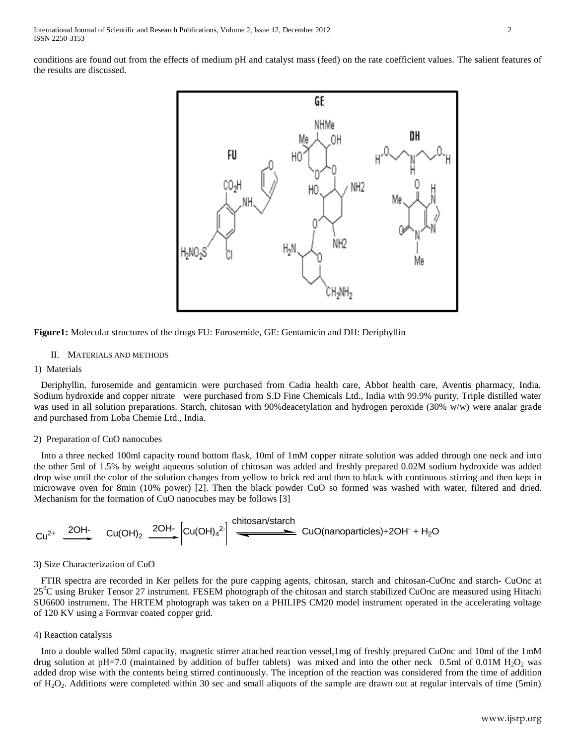



#### II. MATERIALS AND METHODS

#### 1) Materials

 Deriphyllin, furosemide and gentamicin were purchased from Cadia health care, Abbot health care, Aventis pharmacy, India. Sodium hydroxide and copper nitrate were purchased from S.D Fine Chemicals Ltd., India with 99.9% purity. Triple distilled water was used in all solution preparations. Starch, chitosan with 90%deacetylation and hydrogen peroxide (30% w/w) were analar grade and purchased from Loba Chemie Ltd., India.

#### 2) Preparation of CuO nanocubes

 Into a three necked 100ml capacity round bottom flask, 10ml of 1mM copper nitrate solution was added through one neck and into the other 5ml of 1.5% by weight aqueous solution of chitosan was added and freshly prepared 0.02M sodium hydroxide was added drop wise until the color of the solution changes from yellow to brick red and then to black with continuous stirring and then kept in microwave oven for 8min (10% power) [2]. Then the black powder CuO so formed was washed with water, filtered and dried. Mechanism for the formation of CuO nanocubes may be follows [3]

$$
Cu^{2+} \xrightarrow{2OH^-} Cu(OH)_2 \xrightarrow{2OH^-} [Cu(OH)_4{}^2] \xrightarrow{chitosan/starch} CuO(nanoparticles)+2OH^- + H_2O
$$

## 3) Size Characterization of CuO

 FTIR spectra are recorded in Ker pellets for the pure capping agents, chitosan, starch and chitosan-CuOnc and starch- CuOnc at 25<sup>0</sup>C using Bruker Tensor 27 instrument. FESEM photograph of the chitosan and starch stabilized CuOnc are measured using Hitachi SU6600 instrument. The HRTEM photograph was taken on a PHILIPS CM20 model instrument operated in the accelerating voltage of 120 KV using a Formvar coated copper grid.

#### 4) Reaction catalysis

 Into a double walled 50ml capacity, magnetic stirrer attached reaction vessel,1mg of freshly prepared CuOnc and 10ml of the 1mM drug solution at pH=7.0 (maintained by addition of buffer tablets) was mixed and into the other neck 0.5ml of 0.01M  $H_2O_2$  was added drop wise with the contents being stirred continuously. The inception of the reaction was considered from the time of addition of H2O2. Additions were completed within 30 sec and small aliquots of the sample are drawn out at regular intervals of time (5min)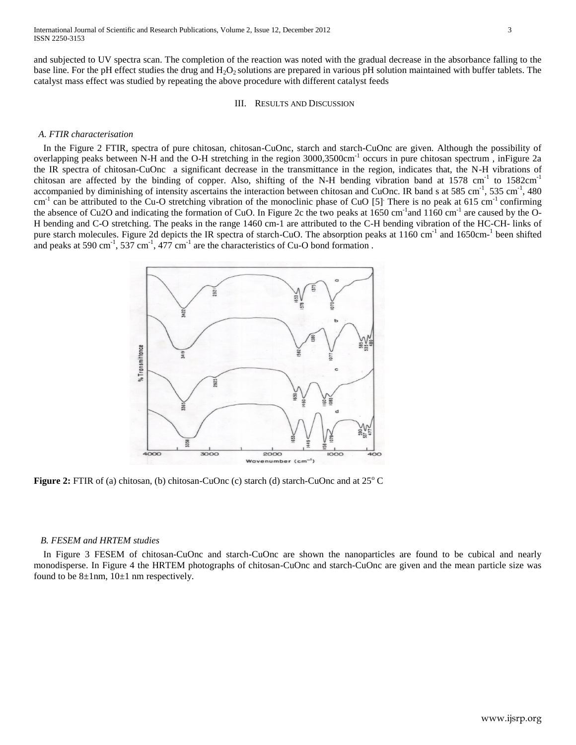and subjected to UV spectra scan. The completion of the reaction was noted with the gradual decrease in the absorbance falling to the base line. For the pH effect studies the drug and  $H_2O_2$  solutions are prepared in various pH solution maintained with buffer tablets. The catalyst mass effect was studied by repeating the above procedure with different catalyst feeds

#### III. RESULTS AND DISCUSSION

#### *A. FTIR characterisation*

 In the Figure 2 FTIR, spectra of pure chitosan, chitosan-CuOnc, starch and starch-CuOnc are given. Although the possibility of overlapping peaks between N-H and the O-H stretching in the region 3000,3500cm<sup>-1</sup> occurs in pure chitosan spectrum, inFigure 2a the IR spectra of chitosan-CuOnc a significant decrease in the transmittance in the region, indicates that, the N-H vibrations of chitosan are affected by the binding of copper. Also, shifting of the N-H bending vibration band at 1578 cm<sup>-1</sup> to 1582cm<sup>-1</sup> accompanied by diminishing of intensity ascertains the interaction between chitosan and CuOnc. IR band s at 585 cm<sup>-1</sup>, 535 cm<sup>-1</sup>, 480 cm<sup>-1</sup> can be attributed to the Cu-O stretching vibration of the monoclinic phase of CuO [5] There is no peak at 615 cm<sup>-1</sup> confirming the absence of Cu2O and indicating the formation of CuO. In Figure 2c the two peaks at 1650 cm<sup>-1</sup> and 1160 cm<sup>-1</sup> are caused by the O-H bending and C-O stretching. The peaks in the range 1460 cm-1 are attributed to the C-H bending vibration of the HC-CH- links of pure starch molecules. Figure 2d depicts the IR spectra of starch-CuO. The absorption peaks at 1160 cm<sup>-1</sup> and 1650cm-<sup>1</sup> been shifted and peaks at 590 cm<sup>-1</sup>, 537 cm<sup>-1</sup>, 477 cm<sup>-1</sup> are the characteristics of Cu-O bond formation.



**Figure 2:** FTIR of (a) chitosan, (b) chitosan-CuOnc (c) starch (d) starch-CuOnc and at 25<sup>o</sup> C

#### *B. FESEM and HRTEM studies*

 In Figure 3 FESEM of chitosan-CuOnc and starch-CuOnc are shown the nanoparticles are found to be cubical and nearly monodisperse. In Figure 4 the HRTEM photographs of chitosan-CuOnc and starch-CuOnc are given and the mean particle size was found to be  $8\pm1$ nm,  $10\pm1$  nm respectively.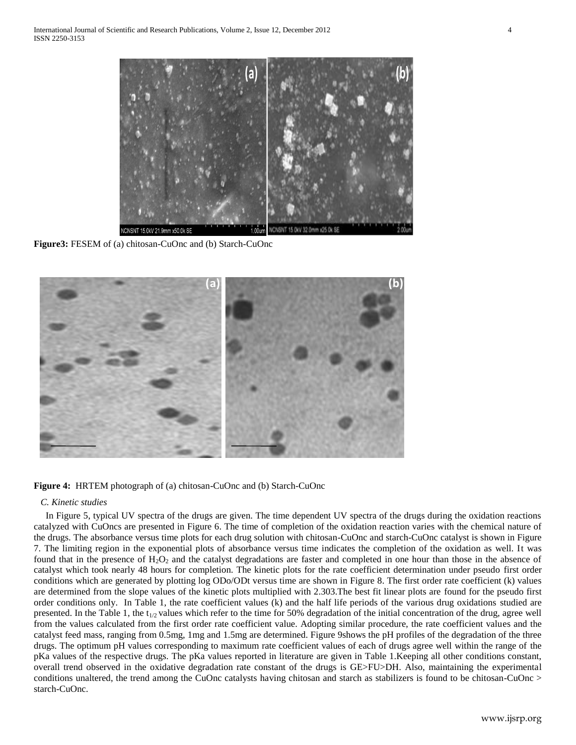

**Figure3:** FESEM of (a) chitosan-CuOnc and (b) Starch-CuOnc





# *C. Kinetic studies*

 In Figure 5, typical UV spectra of the drugs are given. The time dependent UV spectra of the drugs during the oxidation reactions catalyzed with CuOncs are presented in Figure 6. The time of completion of the oxidation reaction varies with the chemical nature of the drugs. The absorbance versus time plots for each drug solution with chitosan-CuOnc and starch-CuOnc catalyst is shown in Figure 7. The limiting region in the exponential plots of absorbance versus time indicates the completion of the oxidation as well. It was found that in the presence of  $H_2O_2$  and the catalyst degradations are faster and completed in one hour than those in the absence of catalyst which took nearly 48 hours for completion. The kinetic plots for the rate coefficient determination under pseudo first order conditions which are generated by plotting log ODo/ODt versus time are shown in Figure 8. The first order rate coefficient (k) values are determined from the slope values of the kinetic plots multiplied with 2.303.The best fit linear plots are found for the pseudo first order conditions only. In Table 1, the rate coefficient values (k) and the half life periods of the various drug oxidations studied are presented. In the Table 1, the  $t_{1/2}$  values which refer to the time for 50% degradation of the initial concentration of the drug, agree well from the values calculated from the first order rate coefficient value. Adopting similar procedure, the rate coefficient values and the catalyst feed mass, ranging from 0.5mg, 1mg and 1.5mg are determined. Figure 9shows the pH profiles of the degradation of the three drugs. The optimum pH values corresponding to maximum rate coefficient values of each of drugs agree well within the range of the pKa values of the respective drugs. The pKa values reported in literature are given in Table 1.Keeping all other conditions constant, overall trend observed in the oxidative degradation rate constant of the drugs is GE>FU>DH. Also, maintaining the experimental conditions unaltered, the trend among the CuOnc catalysts having chitosan and starch as stabilizers is found to be chitosan-CuOnc >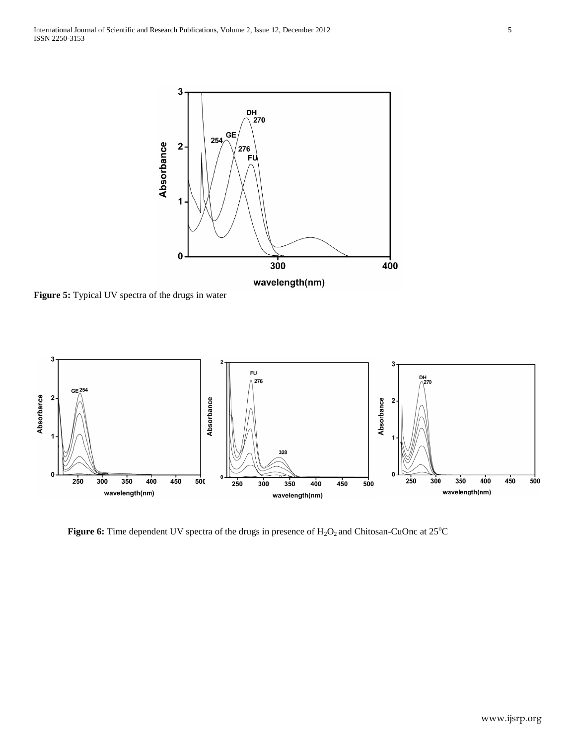

**Figure 5:** Typical UV spectra of the drugs in water



**Figure 6:** Time dependent UV spectra of the drugs in presence of H<sub>2</sub>O<sub>2</sub> and Chitosan-CuOnc at 25<sup>°</sup>C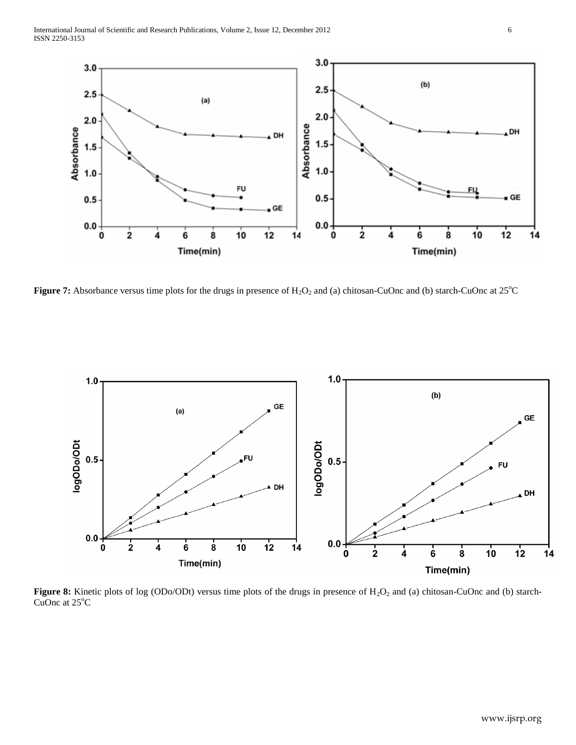

**Figure 7:** Absorbance versus time plots for the drugs in presence of H<sub>2</sub>O<sub>2</sub> and (a) chitosan-CuOnc and (b) starch-CuOnc at 25<sup>o</sup>C



**Figure 8:** Kinetic plots of log (ODo/ODt) versus time plots of the drugs in presence of H<sub>2</sub>O<sub>2</sub> and (a) chitosan-CuOnc and (b) starch-CuOnc at 25°C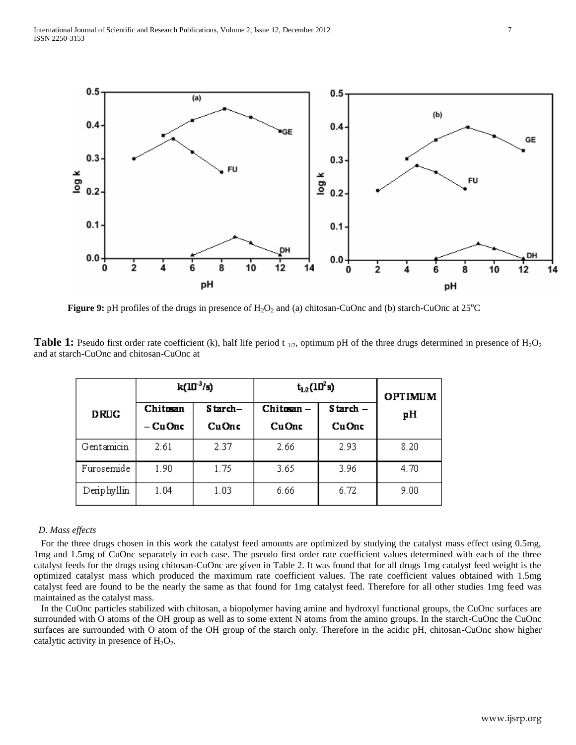

**Figure 9:** pH profiles of the drugs in presence of  $H_2O_2$  and (a) chitosan-CuOnc and (b) starch-CuOnc at  $25^{\circ}$ C

**Table 1:** Pseudo first order rate coefficient (k), half life period t  $_{1/2}$ , optimum pH of the three drugs determined in presence of  $H_2O_2$ and at starch-CuOnc and chitosan-CuOnc at

|             | $k(10^{-3}/s)$ |         | $t_{1,2}$ (10 <sup>2</sup> s) |               | <b>OPTIMUM</b> |
|-------------|----------------|---------|-------------------------------|---------------|----------------|
| <b>DRUG</b> | Chitesan       | Starch- | Chitosan-                     | $S$ tarch $-$ | pН             |
|             | – Cu Onc       | CuOnc   | CuOnc                         | CuOnc         |                |
| Gentamicin  | 2.61           | 2.37    | 2.66                          | 2.93          | 8.20           |
| Furosemide  | 1.90           | 1.75    | 3.65                          | 3.96          | 4.70           |
| Denphyllin  | 1.04           | 1.03    | 6.66                          | 6.72          | 9.00           |

## *D. Mass effects*

 For the three drugs chosen in this work the catalyst feed amounts are optimized by studying the catalyst mass effect using 0.5mg, 1mg and 1.5mg of CuOnc separately in each case. The pseudo first order rate coefficient values determined with each of the three catalyst feeds for the drugs using chitosan-CuOnc are given in Table 2. It was found that for all drugs 1mg catalyst feed weight is the optimized catalyst mass which produced the maximum rate coefficient values. The rate coefficient values obtained with 1.5mg catalyst feed are found to be the nearly the same as that found for 1mg catalyst feed. Therefore for all other studies 1mg feed was maintained as the catalyst mass.

 In the CuOnc particles stabilized with chitosan, a biopolymer having amine and hydroxyl functional groups, the CuOnc surfaces are surrounded with O atoms of the OH group as well as to some extent N atoms from the amino groups. In the starch-CuOnc the CuOnc surfaces are surrounded with O atom of the OH group of the starch only. Therefore in the acidic pH, chitosan-CuOnc show higher catalytic activity in presence of  $H_2O_2$ .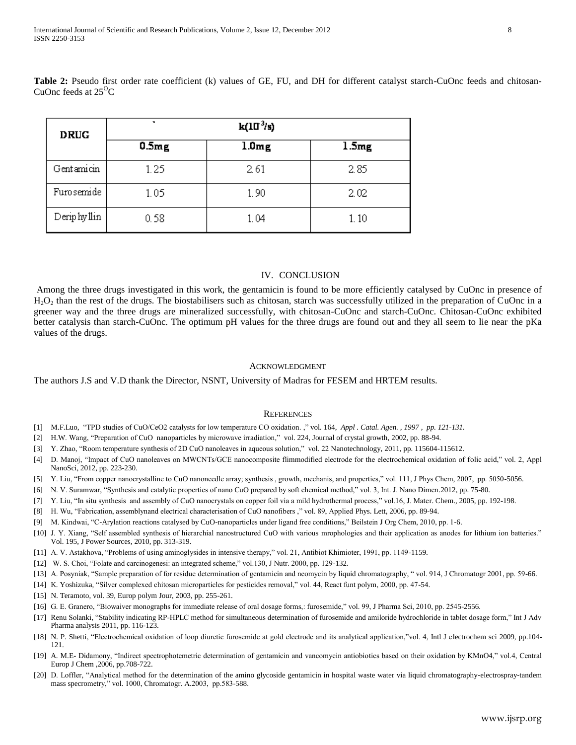**Table 2:** Pseudo first order rate coefficient (k) values of GE, FU, and DH for different catalyst starch-CuOnc feeds and chitosan-CuOnc feeds at  $25^{\circ}$ C

| <b>DRUG</b> | ۰<br>$k(10^{3}/s)$ |       |       |  |  |
|-------------|--------------------|-------|-------|--|--|
|             | 0.5mg              | 1.0mg | 1.5mg |  |  |
| Gentamicin  | 1.25               | 2.61  | 2.85  |  |  |
| Furosemide  | 1.05               | 1.90  | 2.02  |  |  |
| Deriphyllin | 0.58               | 1.04  | 1.10  |  |  |

#### IV. CONCLUSION

Among the three drugs investigated in this work, the gentamicin is found to be more efficiently catalysed by CuOnc in presence of H2O<sup>2</sup> than the rest of the drugs. The biostabilisers such as chitosan, starch was successfully utilized in the preparation of CuOnc in a greener way and the three drugs are mineralized successfully, with chitosan-CuOnc and starch-CuOnc. Chitosan-CuOnc exhibited better catalysis than starch-CuOnc. The optimum pH values for the three drugs are found out and they all seem to lie near the pKa values of the drugs.

#### ACKNOWLEDGMENT

The authors J.S and V.D thank the Director, NSNT, University of Madras for FESEM and HRTEM results.

#### **REFERENCES**

- [1] M.F.Luo, "TPD studies of CuO/CeO2 catalysts for low temperature CO oxidation. ," vol. 164, *Appl . Catal. Agen. , 1997 , pp. 121-131.*
- [2] H.W. Wang, "Preparation of CuO nanoparticles by microwave irradiation," vol. 224, Journal of crystal growth, 2002, pp. 88-94.
- [3] Y. Zhao, "Room temperature synthesis of 2D CuO nanoleaves in aqueous solution," vol. 22 Nanotechnology, 2011, pp. 115604-115612.
- [4] D. Manoj, "Impact of CuO nanoleaves on MWCNTs/GCE nanocomposite flimmodified electrode for the electrochemical oxidation of folic acid," vol. 2, Appl NanoSci, 2012, pp. 223-230.
- [5] Y. Liu, "From copper nanocrystalline to CuO nanoneedle array; synthesis , growth, mechanis, and properties," vol. 111, J Phys Chem, 2007, pp. 5050-5056.
- [6] N. V. Suramwar, "Synthesis and catalytic properties of nano CuO prepared by soft chemical method," vol. 3, Int. J. Nano Dimen.2012, pp. 75-80.
- [7] Y. Liu, "In situ synthesis and assembly of CuO nanocrystals on copper foil via a mild hydrothermal process," vol.16, J. Mater. Chem., 2005, pp. 192-198.
- [8] H. Wu, "Fabrication, assemblynand electrical characterisation of CuO nanofibers ," vol. 89, Applied Phys. Lett, 2006, pp. 89-94.
- [9] M. Kindwai, "C-Arylation reactions catalysed by CuO-nanoparticles under ligand free conditions," Beilstein J Org Chem, 2010, pp. 1-6.
- [10] J. Y. Xiang, "Self assembled synthesis of hierarchial nanostructured CuO with various mrophologies and their application as anodes for lithium ion batteries." Vol. 195, J Power Sources, 2010, pp. 313-319.
- [11] A. V. Astakhova, "Problems of using aminoglysides in intensive therapy," vol. 21, Antibiot Khimioter, 1991, pp. 1149-1159.
- [12] W. S. Choi, "Folate and carcinogenesi: an integrated scheme," vol.130, J Nutr. 2000, pp. 129-132.
- [13] A. Posyniak, "Sample preparation of for residue determination of gentamicin and neomycin by liquid chromatography, " vol. 914, J Chromatogr 2001, pp. 59-66.
- [14] K. Yoshizuka, "Silver complexed chitosan microparticles for pesticides removal," vol. 44, React funt polym, 2000, pp. 47-54.
- [15] N. Teramoto, vol. 39, Europ polym Jour, 2003, pp. 255-261.
- [16] G. E. Granero, "Biowaiver monographs for immediate release of oral dosage forms,: furosemide," vol. 99, J Pharma Sci, 2010, pp. 2545-2556.
- [17] Renu Solanki, "Stability indicating RP-HPLC method for simultaneous determination of furosemide and amiloride hydrochloride in tablet dosage form," Int J Adv Pharma analysis 2011, pp. 116-123.
- [18] N. P. Shetti, "Electrochemical oxidation of loop diuretic furosemide at gold electrode and its analytical application,"vol. 4, Intl J electrochem sci 2009, pp.104- 121.
- [19] A. M.E- Didamony, "Indirect spectrophotemetric determination of gentamicin and vancomycin antiobiotics based on their oxidation by KMnO4," vol.4, Central Europ J Chem ,2006, pp.708-722.
- [20] D. Loffler, "Analytical method for the determination of the amino glycoside gentamicin in hospital waste water via liquid chromatography-electrospray-tandem mass specrometry," vol. 1000, Chromatogr. A.2003, pp.583-588.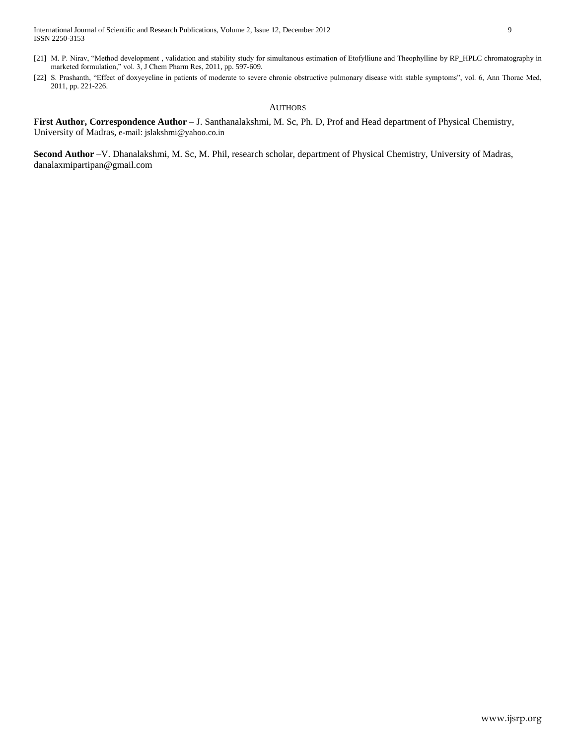- [21] M. P. Nirav, "Method development , validation and stability study for simultanous estimation of Etofylliune and Theophylline by RP\_HPLC chromatography in marketed formulation," vol. 3, J Chem Pharm Res, 2011, pp. 597-609.
- [22] S. Prashanth, "Effect of doxycycline in patients of moderate to severe chronic obstructive pulmonary disease with stable symptoms", vol. 6, Ann Thorac Med, 2011, pp. 221-226.

#### **AUTHORS**

**First Author, Correspondence Author** – J. Santhanalakshmi, M. Sc, Ph. D, Prof and Head department of Physical Chemistry, University of Madras, e-mail: jslakshmi@yahoo.co.in

**Second Author** –V. Dhanalakshmi, M. Sc, M. Phil, research scholar, department of Physical Chemistry, University of Madras, danalaxmipartipan@gmail.com